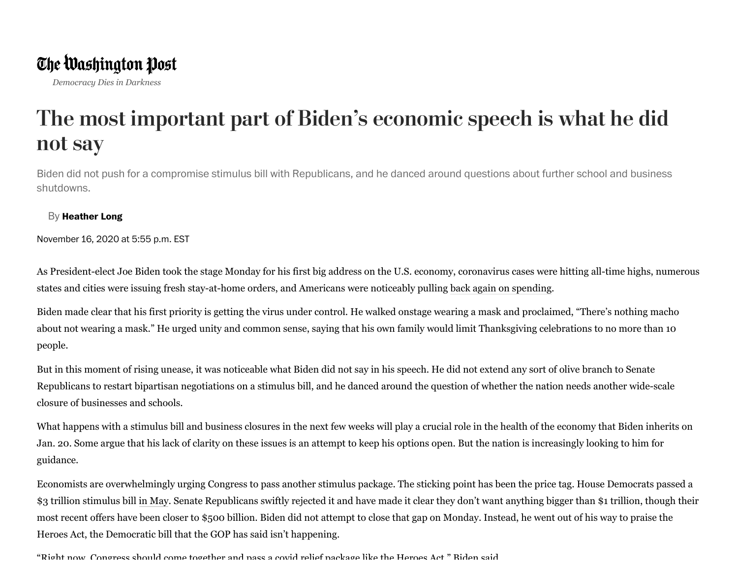*Democracy Dies in Darkness*

## The most important part of Biden's economic speech is what he did not say

Biden did not push for a compromise stimulus bill with Republicans, and he danced around questions about further school and business shutdowns.

## By **[Heather](https://www.washingtonpost.com/people/heather-long/?utm_term=.873551ebb5ec) Long**

November 16, 2020 at 5:55 p.m. EST

As President-elect Joe Biden took the stage Monday for his first big address on the U.S. economy, coronavirus cases were hitting all-time highs, numerous states and cities were issuing fresh stay-at-home orders, and Americans were noticeably pulling [back again on spending.](https://www.washingtonpost.com/business/2020/11/14/coronavirus-shutdown-orders-economy/?itid=lk_inline_manual_2)

Biden made clear that his first priority is getting the virus under control. He walked onstage wearing a mask and proclaimed, "There's nothing macho about not wearing a mask." He urged unity and common sense, saying that his own family would limit Thanksgiving celebrations to no more than 10 people.

But in this moment of rising unease, it was noticeable what Biden did not say in his speech. He did not extend any sort of olive branch to Senate Republicans to restart bipartisan negotiations on a stimulus bill, and he danced around the question of whether the nation needs another wide-scale closure of businesses and schools.

What happens with a stimulus bill and business closures in the next few weeks will play a crucial role in the health of the economy that Biden inherits on Jan. 20. Some argue that his lack of clarity on these issues is an attempt to keep his options open. But the nation is increasingly looking to him for guidance.

Economists are overwhelmingly urging Congress to pass another stimulus package. The sticking point has been the price tag. House Democrats passed a \$3 trillion stimulus bill [in May.](https://www.washingtonpost.com/us-policy/2020/05/15/democrats-pelosi-congress-coronavirus-3-trillion-trump/?itid=lk_inline_manual_10) Senate Republicans swiftly rejected it and have made it clear they don't want anything bigger than \$1 trillion, though their most recent offers have been closer to \$500 billion. Biden did not attempt to close that gap on Monday. Instead, he went out of his way to praise the Heroes Act, the Democratic bill that the GOP has said isn't happening.

"Right now Congress should come together and pass a covid relief package like the Heroes Act " Biden said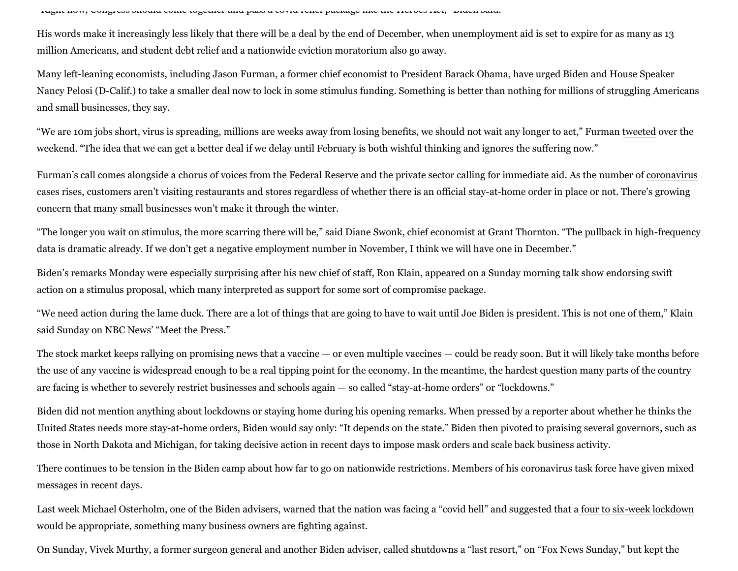Right now, Congress should come together and pass a covid relief package like the Heroes Act, Biden said.

His words make it increasingly less likely that there will be a deal by the end of December, when unemployment aid is set to expire for as many as 13 million Americans, and student debt relief and a nationwide eviction moratorium also go away.

Many left-leaning economists, including Jason Furman, a former chief economist to President Barack Obama, have urged Biden and House Speaker Nancy Pelosi (D-Calif.) to take a smaller deal now to lock in some stimulus funding. Something is better than nothing for millions of struggling Americans and small businesses, they say.

"We are 10m jobs short, virus is spreading, millions are weeks away from losing benefits, we should not wait any longer to act," Furman [tweeted](https://twitter.com/jasonfurman/status/1327669768049090566?s=20) over the weekend. "The idea that we can get a better deal if we delay until February is both wishful thinking and ignores the suffering now."

Furman's call comes alongside a chorus of voices from the Federal Reserve and the private sector calling for immediate aid. As the number of [coronavirus](https://www.washingtonpost.com/coronavirus/?itid=lk_inline_manual_20) cases rises, customers aren't visiting restaurants and stores regardless of whether there is an official stay-at-home order in place or not. There's growing concern that many small businesses won't make it through the winter.

"The longer you wait on stimulus, the more scarring there will be," said Diane Swonk, chief economist at Grant Thornton. "The pullback in high-frequency data is dramatic already. If we don't get a negative employment number in November, I think we will have one in December."

Biden's remarks Monday were especially surprising after his new chief of staff, Ron Klain, appeared on a Sunday morning talk show endorsing swift action on a stimulus proposal, which many interpreted as support for some sort of compromise package.

"We need action during the lame duck. There are a lot of things that are going to have to wait until Joe Biden is president. This is not one of them," Klain said Sunday on NBC News' "Meet the Press."

The stock market keeps rallying on promising news that a vaccine — or even multiple vaccines — could be ready soon. But it will likely take months before the use of any vaccine is widespread enough to be a real tipping point for the economy. In the meantime, the hardest question many parts of the country are facing is whether to severely restrict businesses and schools again — so called "stay-at-home orders" or "lockdowns."

Biden did not mention anything about lockdowns or staying home during his opening remarks. When pressed by a reporter about whether he thinks the United States needs more stay-at-home orders, Biden would say only: "It depends on the state." Biden then pivoted to praising several governors, such as those in North Dakota and Michigan, for taking decisive action in recent days to impose mask orders and scale back business activity.

There continues to be tension in the Biden camp about how far to go on nationwide restrictions. Members of his coronavirus task force have given mixed messages in recent days.

Last week Michael Osterholm, one of the Biden advisers, warned that the nation was facing a "covid hell" and suggested that a [four to six-week lockdown](https://www.cnbc.com/2020/11/11/biden-covid-advisor-says-us-lockdown-of-4-to-6-weeks-could-control-pandemic-and-revive-economy.html) would be appropriate, something many business owners [are fighting against.](https://www.washingtonpost.com/us-policy/2020/11/16/coronavirus-business-lobbying-restrictions/?itid=lk_inline_manual_32)

On Sunday, Vivek Murthy, a former surgeon general and another Biden adviser, called shutdowns a "last resort," on "Fox News Sunday," but kept the